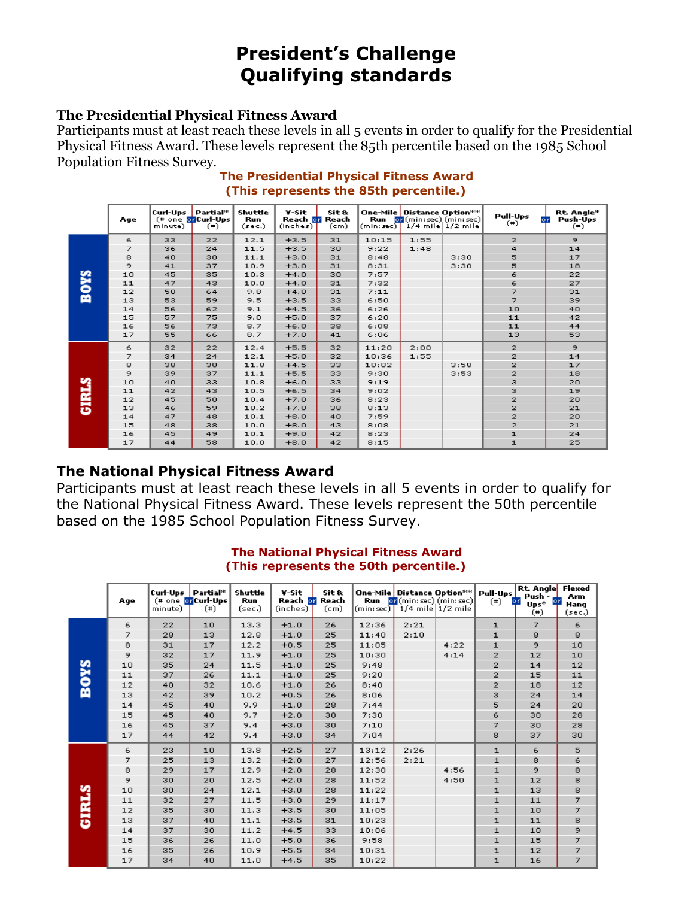# **President's Challenge Qualifying standards**

#### **The Presidential Physical Fitness Award**

Participants must at least reach these levels in all 5 events in order to qualify for the Presidential Physical Fitness Award. These levels represent the 85th percentile based on the 1985 School Population Fitness Survey.

|              | Age | Curl-Ups Partial*<br>minute) | (# one or Curl-Ups<br>$(*)$ | Shuttle<br><b>Run</b><br>(sec.) | V-Sit<br>Reach <b>or</b> Reach<br>(inches) | Sit &<br>(c <sub>m</sub> ) | Run<br>(min: sec) | One-Mile Distance Option**<br>$\sigma$ (min: sec) (min: sec) | $1/4$ mile $1/2$ mile | <b>Pull-Ups</b><br>or<br>$(*)$ | Rt. Angle*<br>Push-Ups<br>$(*)$ |
|--------------|-----|------------------------------|-----------------------------|---------------------------------|--------------------------------------------|----------------------------|-------------------|--------------------------------------------------------------|-----------------------|--------------------------------|---------------------------------|
|              | 6   | 33                           | 22                          | 12.1                            | $+3.5$                                     | 31                         | 10:15             | 1:55                                                         |                       | $\overline{2}$                 | 9.                              |
|              | 7   | 36                           | 24                          | 11.5                            | $+3.5$                                     | 30                         | 9:22              | 1:48                                                         |                       | 4                              | 14                              |
|              | 8   | 40                           | 30                          | 11.1                            | $+3.0$                                     | 31                         | 8:48              |                                                              | 3:30                  | 5                              | 17                              |
|              | 9   | 41                           | 37                          | 10.9                            | $+3.0$                                     | 31                         | 8:31              |                                                              | 3:30                  | 5                              | 18                              |
| <b>SAOR</b>  | 10  | 45                           | 35                          | 10.3                            | $+4.0$                                     | 30                         | 7:57              |                                                              |                       | 6                              | 22                              |
|              | 11  | 47                           | 43                          | 10,0                            | $+4.0$                                     | 31                         | 7:32              |                                                              |                       | 6                              | 27                              |
|              | 12  | 50                           | 64                          | 9.8                             | $+4.0$                                     | 31                         | 7:11              |                                                              |                       | $\overline{z}$                 | 31                              |
|              | 13  | 53                           | 59                          | 9.5                             | $+3.5$                                     | 33                         | 6:50              |                                                              |                       | $\overline{z}$                 | 39                              |
|              | 14  | 56                           | 62                          | 9.1                             | $+4.5$                                     | 36                         | 6:26              |                                                              |                       | 10                             | 40                              |
|              | 15  | 57                           | 75                          | 9.0                             | $+5.0$                                     | 37                         | 6:20              |                                                              |                       | 11                             | 42                              |
|              | 16  | 56                           | 73                          | 8.7                             | $+6.0$                                     | 38                         | 6:08              |                                                              |                       | $11$                           | 44                              |
|              | 17  | 55                           | 66                          | 8.7                             | $+7.0$                                     | 41                         | 6:06              |                                                              |                       | 13                             | 53                              |
|              | 6   | 32                           | 22                          | 12.4                            | $+5.5$                                     | 32                         | 11:20             | 2:00                                                         |                       | $\mathbf{z}$                   | 9                               |
|              | 7   | 34                           | 24                          | 12.1                            | $+5.0$                                     | 32                         | 10:36             | 1:55                                                         |                       | $\overline{z}$                 | 14                              |
|              | 8   | 38                           | 30                          | 11.8                            | $+4.5$                                     | 33                         | 10:02             |                                                              | 3:58                  | $\overline{z}$                 | 17                              |
|              | 9   | 39                           | 37                          | 11.1                            | $+5.5$                                     | 33                         | 9:30              |                                                              | 3:53                  | $\overline{2}$                 | 18                              |
|              | 10  | 40                           | 33                          | 10.8                            | $+6.0$                                     | 33                         | 9:19              |                                                              |                       | з                              | 20                              |
|              | 11  | 42                           | 43                          | 10.5                            | $+6.5$                                     | 34                         | 9:02              |                                                              |                       | з                              | 19                              |
|              | 12  | 45                           | 50                          | 10,4                            | $+7.0$                                     | 36                         | 8:23              |                                                              |                       | $\overline{z}$                 | 20                              |
| <b>GIRLS</b> | 13  | 46                           | 59                          | 10.2                            | $+7.0$                                     | 38                         | 8:13              |                                                              |                       | $\overline{z}$                 | 21                              |
|              | 14  | 47                           | 48                          | 10.1                            | $+8.0$                                     | 40                         | 7:59              |                                                              |                       | $\overline{2}$                 | 20                              |
|              | 15  | 48                           | 38                          | 10.0                            | $+8.0$                                     | 43                         | 8:08              |                                                              |                       | $\overline{\mathbf{z}}$        | 21                              |
|              | 16  | 45                           | 49                          | 10.1                            | $+9.0$                                     | 42                         | 8:23              |                                                              |                       | ${\bf 1}$                      | 24                              |
|              | 17  | 44                           | 58                          | 10,0                            | $+8.0$                                     | 42                         | 8:15              |                                                              |                       | ${\bf 1}$                      | 25                              |

#### **The Presidential Physical Fitness Award (This represents the 85th percentile.)**

### **The National Physical Fitness Award**

Participants must at least reach these levels in all 5 events in order to qualify for the National Physical Fitness Award. These levels represent the 50th percentile based on the 1985 School Population Fitness Survey.

|              | Age | Curl-Ups Partial*<br>minute) | (# one or Curl-Ups<br>$(*)$ | Shuttle<br>Run<br>(sec.) | V-Sit<br>Reach <b>or</b> Reach<br>(inches) | Sit &<br>(c <sub>m</sub> ) | Run<br>(min:sec) | One-Mile Distance Option**<br>$\sigma$ (min: sec) (min: sec)<br>$1/4$ mile $1/2$ mile |      | Pull-Ups<br>$(*)$ | <b>Rt. Angle</b><br>Push-<br>or<br>or<br>$Ups*$<br>$(*)$ | Flexed<br>Arm<br>Hang<br>(sec.) |
|--------------|-----|------------------------------|-----------------------------|--------------------------|--------------------------------------------|----------------------------|------------------|---------------------------------------------------------------------------------------|------|-------------------|----------------------------------------------------------|---------------------------------|
|              | 6   | 22                           | 10                          | 13.3                     | $+1.0$                                     | 26                         | 12:36            | 2:21                                                                                  |      | 1                 | 7                                                        | 6                               |
|              | 7   | 28                           | 13                          | 12.8                     | $+1.0$                                     | 25                         | 11:40            | 2:10                                                                                  |      | $\mathbf{1}$      | 8                                                        | 8                               |
|              | 8   | 31                           | 17                          | 12.2                     | $+0.5$                                     | 25                         | 11:05            |                                                                                       | 4:22 | 1                 | 9                                                        | 10                              |
|              | 9   | 32                           | 17                          | 11.9                     | $+1.0$                                     | 25                         | 10:30            |                                                                                       | 4:14 | $\overline{2}$    | 12                                                       | 10                              |
| <b>SAOR</b>  | 10  | 35                           | 24                          | 11.5                     | $+1.0$                                     | 25                         | 9:48             |                                                                                       |      | $\overline{2}$    | 14                                                       | 12                              |
|              | 11  | 37                           | 26                          | 11.1                     | $+1.0$                                     | 25                         | 9:20             |                                                                                       |      | $\mathbf{2}$      | 15                                                       | 11                              |
|              | 12  | 40                           | 32                          | 10.6                     | $+1.0$                                     | 26                         | 8:40             |                                                                                       |      | $\mathbf{z}$      | 18                                                       | 12                              |
|              | 13  | 42                           | 39                          | 10.2                     | $+0.5$                                     | 26                         | 8:06             |                                                                                       |      | з                 | 24                                                       | 14                              |
|              | 14  | 45                           | 40                          | 9.9                      | $+1.0$                                     | 28                         | 7:44             |                                                                                       |      | 5                 | 24                                                       | 20                              |
|              | 15  | 45                           | 40                          | 9.7                      | $+2.0$                                     | 30                         | 7:30             |                                                                                       |      | 6                 | 30                                                       | 28                              |
|              | 16  | 45                           | 37                          | 9.4                      | $+3.0$                                     | 30                         | 7:10             |                                                                                       |      | $\overline{z}$    | 30                                                       | 28                              |
|              | 17  | 44                           | 42                          | 9,4                      | $+3.0$                                     | 34                         | 7:04             |                                                                                       |      | 8                 | 37                                                       | 30                              |
|              | 6   | 23                           | 10                          | 13.8                     | $+2.5$                                     | 27                         | 13:12            | 2:26                                                                                  |      | $\mathbf{1}$      | 6                                                        | 5                               |
|              | 7   | 25                           | 13                          | 13.2                     | $+2.0$                                     | 27                         | 12:56            | 2:21                                                                                  |      | $\mathbf{1}$      | 8                                                        | 6                               |
|              | 8   | 29                           | 17                          | 12.9                     | $+2.0$                                     | 28                         | 12:30            |                                                                                       | 4:56 | $\mathbf{1}$      | 9                                                        | 8                               |
|              | 9   | 30                           | 20                          | 12.5                     | $+2.0$                                     | 28                         | 11:52            |                                                                                       | 4:50 | ${\bf 1}$         | 12                                                       | 8                               |
|              | 10  | 30                           | 24                          | 12.1                     | $+3.0$                                     | 28                         | 11:22            |                                                                                       |      | $\mathbf{1}$      | 13                                                       | 8                               |
|              | 11  | 32                           | 27                          | 11.5                     | $+3.0$                                     | 29                         | 11:17            |                                                                                       |      | $\mathbf{1}$      | 11                                                       | 7                               |
|              | 12  | 35                           | 30                          | 11.3                     | $+3.5$                                     | 30                         | 11:05            |                                                                                       |      | $\mathbf{1}$      | 10                                                       | 7                               |
| <b>GIRLS</b> | 13  | 37                           | 40                          | 11.1                     | $+3.5$                                     | 31                         | 10:23            |                                                                                       |      | ${\bf 1}$         | 11                                                       | 8                               |
|              | 14  | 37                           | 30                          | 11.2                     | $+4.5$                                     | 33                         | 10:06            |                                                                                       |      | $\mathbf{1}$      | 10                                                       | 9                               |
|              | 15  | 36                           | 26                          | 11.0                     | $+5.0$                                     | 36                         | 9:58             |                                                                                       |      | $\mathbf{1}$      | 15                                                       | $\overline{z}$                  |
|              | 16  | 35                           | 26                          | 10.9                     | $+5.5$                                     | 34                         | 10:31            |                                                                                       |      | ${\bf 1}$         | 12                                                       | 7                               |
|              | 17  | 34                           | 40                          | 11.0                     | $+4.5$                                     | 35                         | 10:22            |                                                                                       |      | $\mathbf{1}$      | 16                                                       | 7                               |

#### **The National Physical Fitness Award (This represents the 50th percentile.)**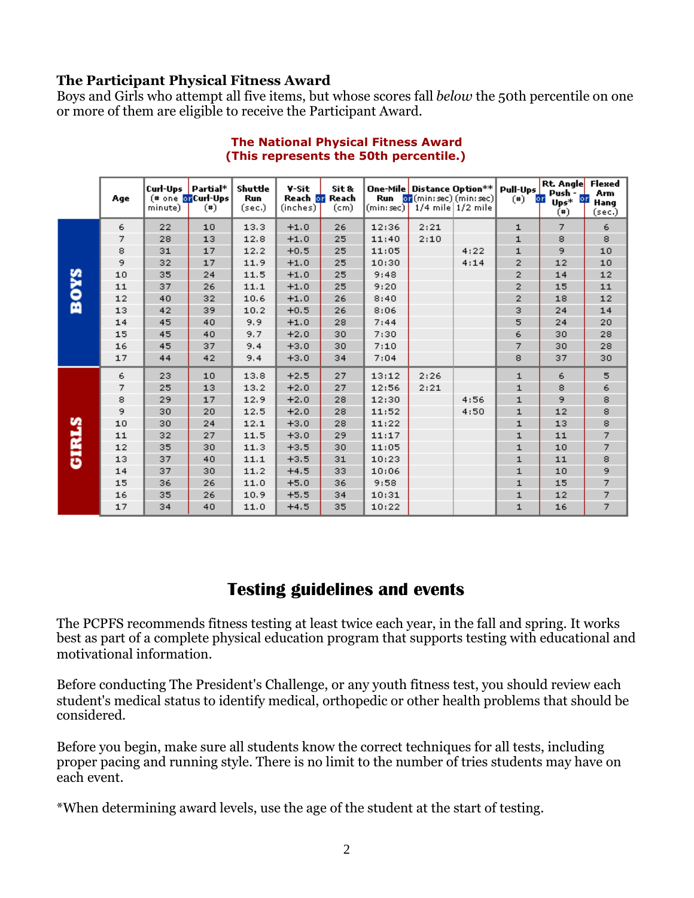## **The Participant Physical Fitness Award**

Boys and Girls who attempt all five items, but whose scores fall *below* the 50th percentile on one or more of them are eligible to receive the Participant Award.

|              | Age | Curl-Ups<br>minute) | Partial*<br>(# one or Curl-Ups<br>$(*)$ | Shuttle<br>Run<br>(sec.) | V-Sit<br>Reach or<br>(inches) | Sit &<br>Reach<br>(c <sub>m</sub> ) | Run<br>(min:sec) | One-Mile Distance Option**<br>$\overline{\text{or}}$ (min: sec) (min: sec)<br>$1/4$ mile $1/2$ mile |      | Pull-Ups<br>$(*)$ | <b>Rt. Angle</b><br>Push -<br>or<br>or<br>$Ups*$<br>$(*)$ | Flexed<br><b>Arm</b><br>Hang<br>(sec.) |
|--------------|-----|---------------------|-----------------------------------------|--------------------------|-------------------------------|-------------------------------------|------------------|-----------------------------------------------------------------------------------------------------|------|-------------------|-----------------------------------------------------------|----------------------------------------|
|              | 6   | 22                  | 10                                      | 13.3                     | $+1.0$                        | 26                                  | 12:36            | 2:21                                                                                                |      | 1                 | 7.                                                        | 6                                      |
|              | 7   | 28                  | 13                                      | 12.8                     | $+1.0$                        | 25                                  | 11:40            | 2:10                                                                                                |      | $\mathbf{1}$      | 8                                                         | 8                                      |
|              | 8   | 31                  | 17                                      | 12.2                     | $+0.5$                        | 25                                  | 11:05            |                                                                                                     | 4:22 | $\mathbf{1}$      | 9.                                                        | 10                                     |
|              | 9.  | 32                  | 17                                      | 11.9                     | $+1.0$                        | 25                                  | 10:30            |                                                                                                     | 4:14 | 2                 | 12                                                        | 10                                     |
| <b>SAO8</b>  | 10  | 35                  | 24                                      | 11.5                     | $+1.0$                        | 25                                  | 9:48             |                                                                                                     |      | 2                 | 14                                                        | ${\bf 12}$                             |
|              | 11  | 37                  | 26                                      | 11.1                     | $+1.0$                        | 25                                  | 9:20             |                                                                                                     |      | 2                 | 15                                                        | 11                                     |
|              | 12  | 40                  | 32                                      | 10.6                     | $+1.0$                        | 26                                  | 8:40             |                                                                                                     |      | $\overline{2}$    | 18                                                        | 12                                     |
|              | 13  | 42                  | 39                                      | 10.2                     | $+0.5$                        | 26                                  | 8:06             |                                                                                                     |      | з                 | 24                                                        | 14                                     |
|              | 14  | 45                  | 40                                      | 9.9                      | $+1.0$                        | 28                                  | 7:44             |                                                                                                     |      | 5                 | 24                                                        | 20                                     |
|              | 15  | 45                  | 40                                      | 9.7                      | $+2.0$                        | 30                                  | 7:30             |                                                                                                     |      | 6                 | 30                                                        | 28                                     |
|              | 16  | 45                  | 37                                      | 9.4                      | $+3.0$                        | 30                                  | 7:10             |                                                                                                     |      | 7                 | 30                                                        | 28                                     |
|              | 17  | 44                  | 42                                      | 9.4                      | $+3.0$                        | 34                                  | 7:04             |                                                                                                     |      | 8                 | 37                                                        | 30                                     |
|              | 6   | 23                  | 10                                      | 13.8                     | $+2.5$                        | 27                                  | 13:12            | 2:26                                                                                                |      | $\mathbf{1}$      | 6                                                         | 5                                      |
|              | 7   | 25                  | 13                                      | 13.2                     | $+2.0$                        | 27                                  | 12:56            | 2:21                                                                                                |      | $\mathbf{1}$      | 8                                                         | 6                                      |
|              | 8   | 29                  | 17                                      | 12.9                     | $+2.0$                        | 28                                  | 12:30            |                                                                                                     | 4:56 | $\mathbf{1}$      | 9.                                                        | 8                                      |
|              | 9   | 30                  | 20                                      | 12.5                     | $+2.0$                        | 28                                  | 11:52            |                                                                                                     | 4:50 | $\mathbf{1}$      | 12                                                        | 8                                      |
|              | 10  | 30                  | 24                                      | 12.1                     | $+3.0$                        | 28                                  | 11:22            |                                                                                                     |      | $\mathbf{1}$      | 13                                                        | 8                                      |
|              | 11  | 32                  | 27                                      | 11.5                     | $+3.0$                        | 29                                  | 11:17            |                                                                                                     |      | $\mathbf{1}$      | 11                                                        | 7                                      |
|              | 12  | 35                  | 30                                      | 11.3                     | $+3.5$                        | 30                                  | 11:05            |                                                                                                     |      | $\mathbf{1}$      | 10                                                        | $\overline{7}$                         |
| <b>GIRLS</b> | 13  | 37                  | 40                                      | 11.1                     | $+3.5$                        | 31                                  | 10:23            |                                                                                                     |      | $\mathbf{1}$      | 11                                                        | 8                                      |
|              | 14  | 37                  | 30                                      | 11.2                     | $+4.5$                        | 33                                  | 10:06            |                                                                                                     |      | $\mathbf{1}$      | 10                                                        | 9                                      |
|              | 15  | 36                  | 26                                      | 11.0                     | $+5.0$                        | 36                                  | 9:58             |                                                                                                     |      | $\mathbf{1}$      | 15                                                        | 7                                      |
|              | 16  | 35                  | 26                                      | 10.9                     | $+5.5$                        | 34                                  | 10:31            |                                                                                                     |      | ${\bf 1}$         | 12                                                        | 7                                      |
|              | 17  | 34                  | 40                                      | 11.0                     | $+4.5$                        | 35                                  | 10:22            |                                                                                                     |      | $\mathbf{1}$      | 16                                                        | $\overline{7}$                         |

#### **The National Physical Fitness Award (This represents the 50th percentile.)**

# **Testing guidelines and events**

The PCPFS recommends fitness testing at least twice each year, in the fall and spring. It works best as part of a complete physical education program that supports testing with educational and motivational information.

Before conducting The President's Challenge, or any youth fitness test, you should review each student's medical status to identify medical, orthopedic or other health problems that should be considered.

Before you begin, make sure all students know the correct techniques for all tests, including proper pacing and running style. There is no limit to the number of tries students may have on each event.

\*When determining award levels, use the age of the student at the start of testing.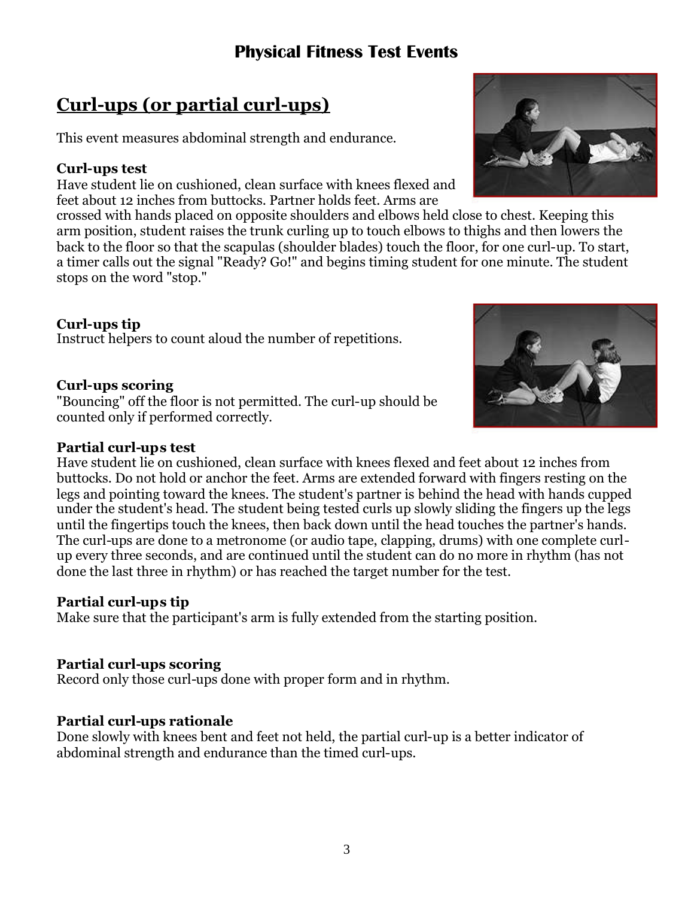# **Physical Fitness Test Events**

# **Curl-ups (or partial curl-ups)**

This event measures abdominal strength and endurance.

## **Curl-ups test**

Have student lie on cushioned, clean surface with knees flexed and feet about 12 inches from buttocks. Partner holds feet. Arms are

crossed with hands placed on opposite shoulders and elbows held close to chest. Keeping this arm position, student raises the trunk curling up to touch elbows to thighs and then lowers the back to the floor so that the scapulas (shoulder blades) touch the floor, for one curl-up. To start, a timer calls out the signal "Ready? Go!" and begins timing student for one minute. The student stops on the word "stop."

#### **Curl-ups tip**

Instruct helpers to count aloud the number of repetitions.

### **Curl-ups scoring**

"Bouncing" off the floor is not permitted. The curl-up should be counted only if performed correctly.

#### **Partial curl-ups test**

Have student lie on cushioned, clean surface with knees flexed and feet about 12 inches from buttocks. Do not hold or anchor the feet. Arms are extended forward with fingers resting on the legs and pointing toward the knees. The student's partner is behind the head with hands cupped under the student's head. The student being tested curls up slowly sliding the fingers up the legs until the fingertips touch the knees, then back down until the head touches the partner's hands. The curl-ups are done to a metronome (or audio tape, clapping, drums) with one complete curlup every three seconds, and are continued until the student can do no more in rhythm (has not done the last three in rhythm) or has reached the target number for the test.

### **Partial curl-ups tip**

Make sure that the participant's arm is fully extended from the starting position.

### **Partial curl-ups scoring**

Record only those curl-ups done with proper form and in rhythm.

### **Partial curl-ups rationale**

Done slowly with knees bent and feet not held, the partial curl-up is a better indicator of abdominal strength and endurance than the timed curl-ups.



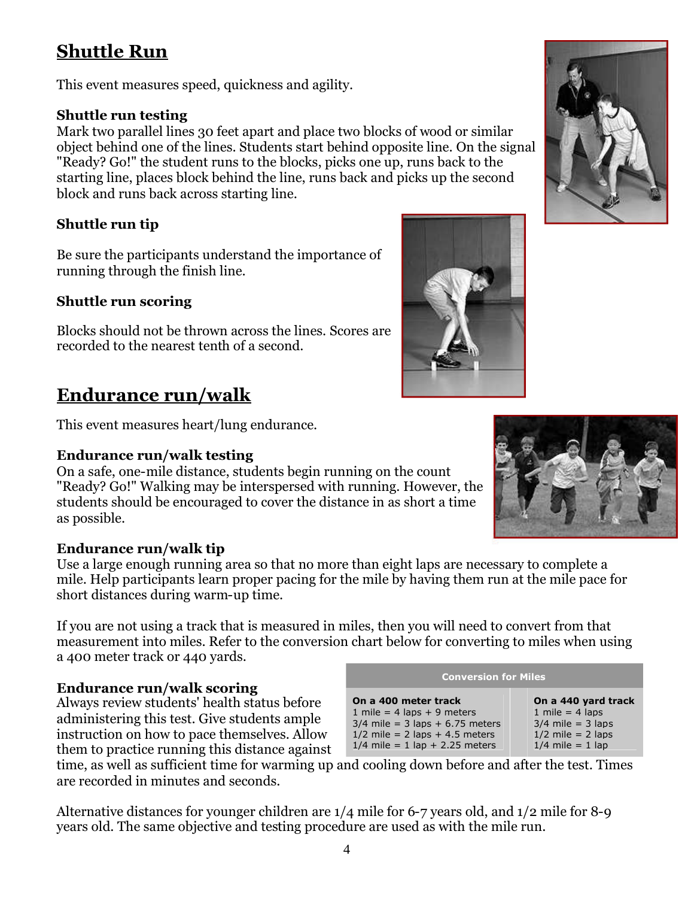# **Shuttle Run**

This event measures speed, quickness and agility.

# **Shuttle run testing**

Mark two parallel lines 30 feet apart and place two blocks of wood or similar object behind one of the lines. Students start behind opposite line. On the signal "Ready? Go!" the student runs to the blocks, picks one up, runs back to the starting line, places block behind the line, runs back and picks up the second block and runs back across starting line.

# **Shuttle run tip**

Be sure the participants understand the importance of running through the finish line.

# **Shuttle run scoring**

Blocks should not be thrown across the lines. Scores are recorded to the nearest tenth of a second.

# **Endurance run/walk**

This event measures heart/lung endurance.

# **Endurance run/walk testing**

On a safe, one-mile distance, students begin running on the count "Ready? Go!" Walking may be interspersed with running. However, the students should be encouraged to cover the distance in as short a time as possible.

# **Endurance run/walk tip**

Use a large enough running area so that no more than eight laps are necessary to complete a mile. Help participants learn proper pacing for the mile by having them run at the mile pace for short distances during warm-up time.

If you are not using a track that is measured in miles, then you will need to convert from that measurement into miles. Refer to the conversion chart below for converting to miles when using a 400 meter track or 440 yards.

# **Endurance run/walk scoring**

Always review students' health status before administering this test. Give students ample instruction on how to pace themselves. Allow them to practice running this distance against

time, as well as sufficient time for warming up and cooling down before and after the test. Times are recorded in minutes and seconds.

Alternative distances for younger children are 1/4 mile for 6-7 years old, and 1/2 mile for 8-9 years old. The same objective and testing procedure are used as with the mile run.







| <b>Conversion for Miles</b> |  |
|-----------------------------|--|
|                             |  |

| On a 400 meter track              |
|-----------------------------------|
| 1 mile = $4$ laps + $9$ meters    |
| $3/4$ mile = 3 laps + 6.75 meters |
| $1/2$ mile = 2 laps + 4.5 meters  |
| $1/4$ mile = 1 lap + 2.25 meters  |
|                                   |

**On a 440 yard track** 1 mile  $=$  4 laps  $3/4$  mile = 3 laps  $1/2$  mile = 2 laps

 $1/4$  mile = 1 lap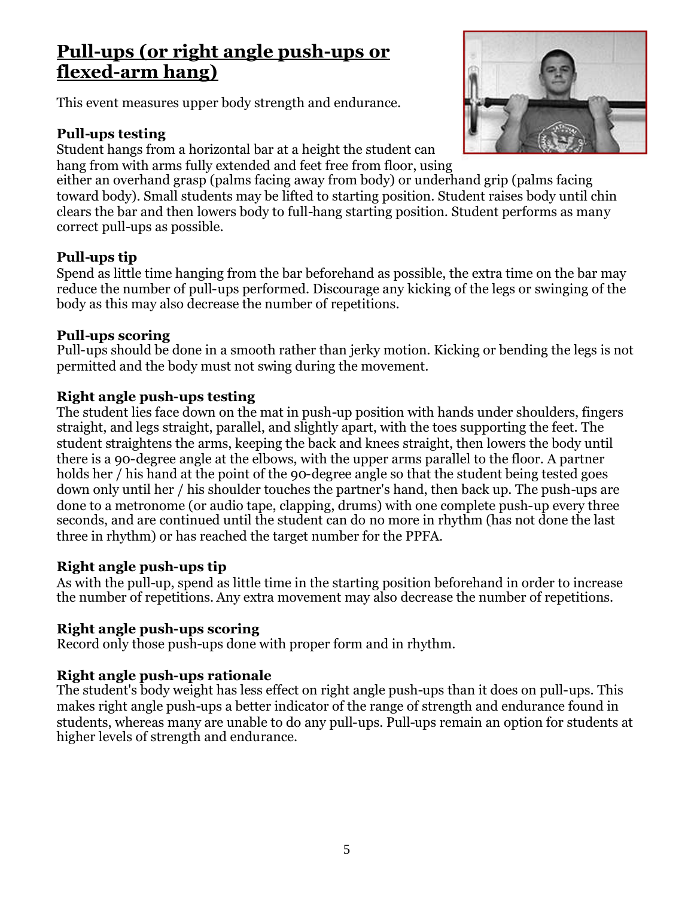# **Pull-ups (or right angle push-ups or flexed-arm hang)**

This event measures upper body strength and endurance.

## **Pull-ups testing**

Student hangs from a horizontal bar at a height the student can hang from with arms fully extended and feet free from floor, using



either an overhand grasp (palms facing away from body) or underhand grip (palms facing toward body). Small students may be lifted to starting position. Student raises body until chin clears the bar and then lowers body to full-hang starting position. Student performs as many correct pull-ups as possible.

# **Pull-ups tip**

Spend as little time hanging from the bar beforehand as possible, the extra time on the bar may reduce the number of pull-ups performed. Discourage any kicking of the legs or swinging of the body as this may also decrease the number of repetitions.

### **Pull-ups scoring**

Pull-ups should be done in a smooth rather than jerky motion. Kicking or bending the legs is not permitted and the body must not swing during the movement.

## **Right angle push-ups testing**

The student lies face down on the mat in push-up position with hands under shoulders, fingers straight, and legs straight, parallel, and slightly apart, with the toes supporting the feet. The student straightens the arms, keeping the back and knees straight, then lowers the body until there is a 90-degree angle at the elbows, with the upper arms parallel to the floor. A partner holds her / his hand at the point of the 90-degree angle so that the student being tested goes down only until her / his shoulder touches the partner's hand, then back up. The push-ups are done to a metronome (or audio tape, clapping, drums) with one complete push-up every three seconds, and are continued until the student can do no more in rhythm (has not done the last three in rhythm) or has reached the target number for the PPFA.

### **Right angle push-ups tip**

As with the pull-up, spend as little time in the starting position beforehand in order to increase the number of repetitions. Any extra movement may also decrease the number of repetitions.

# **Right angle push-ups scoring**

Record only those push-ups done with proper form and in rhythm.

# **Right angle push-ups rationale**

The student's body weight has less effect on right angle push-ups than it does on pull-ups. This makes right angle push-ups a better indicator of the range of strength and endurance found in students, whereas many are unable to do any pull-ups. Pull-ups remain an option for students at higher levels of strength and endurance.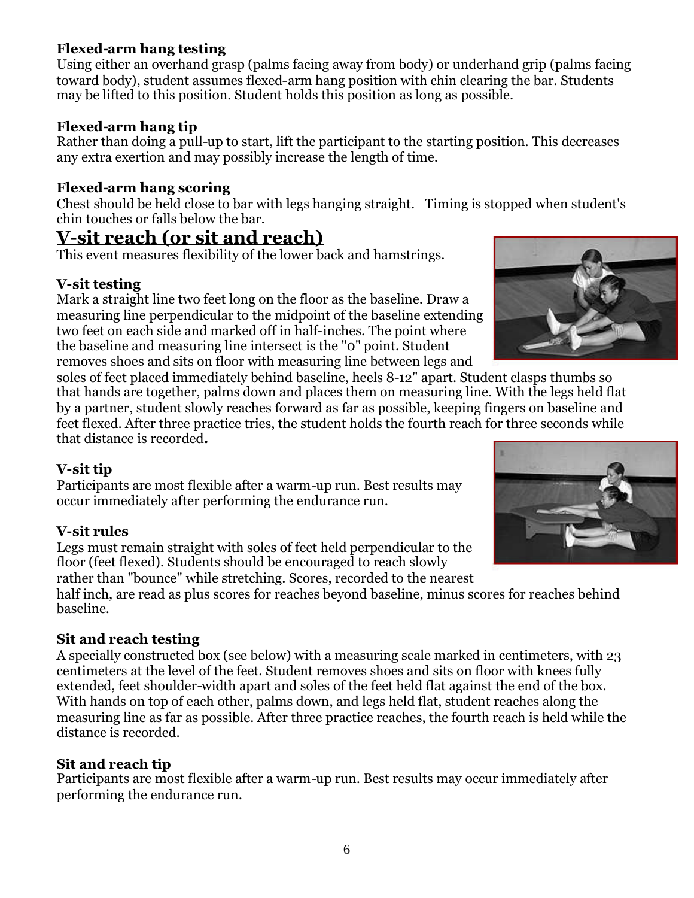# **Flexed-arm hang testing**

Using either an overhand grasp (palms facing away from body) or underhand grip (palms facing toward body), student assumes flexed-arm hang position with chin clearing the bar. Students may be lifted to this position. Student holds this position as long as possible.

## **Flexed-arm hang tip**

Rather than doing a pull-up to start, lift the participant to the starting position. This decreases any extra exertion and may possibly increase the length of time.

## **Flexed-arm hang scoring**

Chest should be held close to bar with legs hanging straight. Timing is stopped when student's chin touches or falls below the bar.

# **V-sit reach (or sit and reach)**

This event measures flexibility of the lower back and hamstrings.

## **V-sit testing**

Mark a straight line two feet long on the floor as the baseline. Draw a measuring line perpendicular to the midpoint of the baseline extending two feet on each side and marked off in half-inches. The point where the baseline and measuring line intersect is the "0" point. Student removes shoes and sits on floor with measuring line between legs and

soles of feet placed immediately behind baseline, heels 8-12" apart. Student clasps thumbs so that hands are together, palms down and places them on measuring line. With the legs held flat by a partner, student slowly reaches forward as far as possible, keeping fingers on baseline and feet flexed. After three practice tries, the student holds the fourth reach for three seconds while that distance is recorded**.**

# **V-sit tip**

Participants are most flexible after a warm-up run. Best results may occur immediately after performing the endurance run.

### **V-sit rules**

Legs must remain straight with soles of feet held perpendicular to the floor (feet flexed). Students should be encouraged to reach slowly rather than "bounce" while stretching. Scores, recorded to the nearest

half inch, are read as plus scores for reaches beyond baseline, minus scores for reaches behind baseline.

# **Sit and reach testing**

A specially constructed box (see below) with a measuring scale marked in centimeters, with 23 centimeters at the level of the feet. Student removes shoes and sits on floor with knees fully extended, feet shoulder-width apart and soles of the feet held flat against the end of the box. With hands on top of each other, palms down, and legs held flat, student reaches along the measuring line as far as possible. After three practice reaches, the fourth reach is held while the distance is recorded.

### **Sit and reach tip**

Participants are most flexible after a warm-up run. Best results may occur immediately after performing the endurance run.